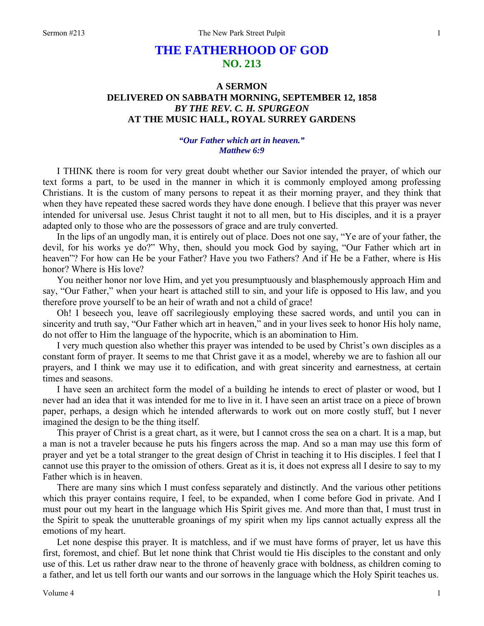# **THE FATHERHOOD OF GOD NO. 213**

## **A SERMON DELIVERED ON SABBATH MORNING, SEPTEMBER 12, 1858**  *BY THE REV. C. H. SPURGEON*  **AT THE MUSIC HALL, ROYAL SURREY GARDENS**

#### *"Our Father which art in heaven." Matthew 6:9*

I THINK there is room for very great doubt whether our Savior intended the prayer, of which our text forms a part, to be used in the manner in which it is commonly employed among professing Christians. It is the custom of many persons to repeat it as their morning prayer, and they think that when they have repeated these sacred words they have done enough. I believe that this prayer was never intended for universal use. Jesus Christ taught it not to all men, but to His disciples, and it is a prayer adapted only to those who are the possessors of grace and are truly converted.

In the lips of an ungodly man, it is entirely out of place. Does not one say, "Ye are of your father, the devil, for his works ye do?" Why, then, should you mock God by saying, "Our Father which art in heaven"? For how can He be your Father? Have you two Fathers? And if He be a Father, where is His honor? Where is His love?

You neither honor nor love Him, and yet you presumptuously and blasphemously approach Him and say, "Our Father," when your heart is attached still to sin, and your life is opposed to His law, and you therefore prove yourself to be an heir of wrath and not a child of grace!

Oh! I beseech you, leave off sacrilegiously employing these sacred words, and until you can in sincerity and truth say, "Our Father which art in heaven," and in your lives seek to honor His holy name, do not offer to Him the language of the hypocrite, which is an abomination to Him.

I very much question also whether this prayer was intended to be used by Christ's own disciples as a constant form of prayer. It seems to me that Christ gave it as a model, whereby we are to fashion all our prayers, and I think we may use it to edification, and with great sincerity and earnestness, at certain times and seasons.

I have seen an architect form the model of a building he intends to erect of plaster or wood, but I never had an idea that it was intended for me to live in it. I have seen an artist trace on a piece of brown paper, perhaps, a design which he intended afterwards to work out on more costly stuff, but I never imagined the design to be the thing itself.

This prayer of Christ is a great chart, as it were, but I cannot cross the sea on a chart. It is a map, but a man is not a traveler because he puts his fingers across the map. And so a man may use this form of prayer and yet be a total stranger to the great design of Christ in teaching it to His disciples. I feel that I cannot use this prayer to the omission of others. Great as it is, it does not express all I desire to say to my Father which is in heaven.

There are many sins which I must confess separately and distinctly. And the various other petitions which this prayer contains require, I feel, to be expanded, when I come before God in private. And I must pour out my heart in the language which His Spirit gives me. And more than that, I must trust in the Spirit to speak the unutterable groanings of my spirit when my lips cannot actually express all the emotions of my heart.

Let none despise this prayer. It is matchless, and if we must have forms of prayer, let us have this first, foremost, and chief. But let none think that Christ would tie His disciples to the constant and only use of this. Let us rather draw near to the throne of heavenly grace with boldness, as children coming to a father, and let us tell forth our wants and our sorrows in the language which the Holy Spirit teaches us.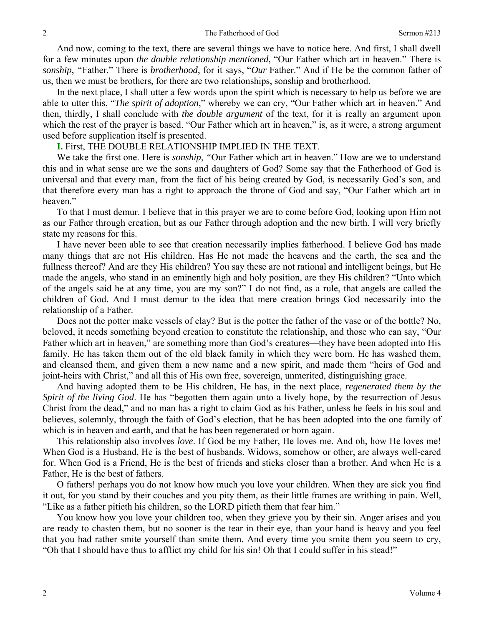And now, coming to the text, there are several things we have to notice here. And first, I shall dwell for a few minutes upon *the double relationship mentioned*, "Our Father which art in heaven." There is *sonship*, *"*Father." There is *brotherhood*, for it says, "*Our* Father." And if He be the common father of us, then we must be brothers, for there are two relationships, sonship and brotherhood.

In the next place, I shall utter a few words upon the spirit which is necessary to help us before we are able to utter this, "*The spirit of adoption*," whereby we can cry, "Our Father which art in heaven." And then, thirdly, I shall conclude with *the double argument* of the text, for it is really an argument upon which the rest of the prayer is based. "Our Father which art in heaven," is, as it were, a strong argument used before supplication itself is presented.

#### **I.** First, THE DOUBLE RELATIONSHIP IMPLIED IN THE TEXT.

We take the first one. Here is *sonship*, *"*Our Father which art in heaven." How are we to understand this and in what sense are we the sons and daughters of God? Some say that the Fatherhood of God is universal and that every man, from the fact of his being created by God, is necessarily God's son, and that therefore every man has a right to approach the throne of God and say, "Our Father which art in heaven."

To that I must demur. I believe that in this prayer we are to come before God, looking upon Him not as our Father through creation, but as our Father through adoption and the new birth. I will very briefly state my reasons for this.

I have never been able to see that creation necessarily implies fatherhood. I believe God has made many things that are not His children. Has He not made the heavens and the earth, the sea and the fullness thereof? And are they His children? You say these are not rational and intelligent beings, but He made the angels, who stand in an eminently high and holy position, are they His children? "Unto which of the angels said he at any time, you are my son?" I do not find, as a rule, that angels are called the children of God. And I must demur to the idea that mere creation brings God necessarily into the relationship of a Father.

Does not the potter make vessels of clay? But is the potter the father of the vase or of the bottle? No, beloved, it needs something beyond creation to constitute the relationship, and those who can say, "Our Father which art in heaven," are something more than God's creatures—they have been adopted into His family. He has taken them out of the old black family in which they were born. He has washed them, and cleansed them, and given them a new name and a new spirit, and made them "heirs of God and joint-heirs with Christ," and all this of His own free, sovereign, unmerited, distinguishing grace.

And having adopted them to be His children, He has, in the next place, *regenerated them by the Spirit of the living God*. He has "begotten them again unto a lively hope, by the resurrection of Jesus Christ from the dead," and no man has a right to claim God as his Father, unless he feels in his soul and believes, solemnly, through the faith of God's election, that he has been adopted into the one family of which is in heaven and earth, and that he has been regenerated or born again.

This relationship also involves *love*. If God be my Father, He loves me. And oh, how He loves me! When God is a Husband, He is the best of husbands. Widows, somehow or other, are always well-cared for. When God is a Friend, He is the best of friends and sticks closer than a brother. And when He is a Father, He is the best of fathers.

O fathers! perhaps you do not know how much you love your children. When they are sick you find it out, for you stand by their couches and you pity them, as their little frames are writhing in pain. Well, "Like as a father pitieth his children, so the LORD pitieth them that fear him."

You know how you love your children too, when they grieve you by their sin. Anger arises and you are ready to chasten them, but no sooner is the tear in their eye, than your hand is heavy and you feel that you had rather smite yourself than smite them. And every time you smite them you seem to cry, "Oh that I should have thus to afflict my child for his sin! Oh that I could suffer in his stead!"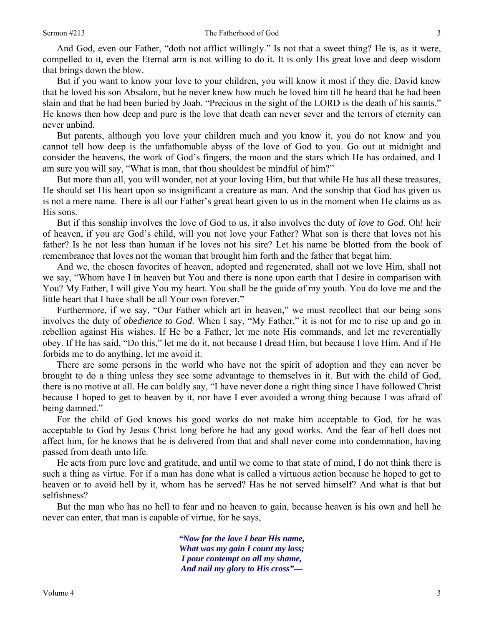And God, even our Father, "doth not afflict willingly." Is not that a sweet thing? He is, as it were, compelled to it, even the Eternal arm is not willing to do it. It is only His great love and deep wisdom that brings down the blow.

But if you want to know your love to your children, you will know it most if they die. David knew that he loved his son Absalom, but he never knew how much he loved him till he heard that he had been slain and that he had been buried by Joab. "Precious in the sight of the LORD is the death of his saints." He knows then how deep and pure is the love that death can never sever and the terrors of eternity can never unbind.

But parents, although you love your children much and you know it, you do not know and you cannot tell how deep is the unfathomable abyss of the love of God to you. Go out at midnight and consider the heavens, the work of God's fingers, the moon and the stars which He has ordained, and I am sure you will say, "What is man, that thou shouldest be mindful of him?"

But more than all, you will wonder, not at your loving Him, but that while He has all these treasures, He should set His heart upon so insignificant a creature as man. And the sonship that God has given us is not a mere name. There is all our Father's great heart given to us in the moment when He claims us as His sons.

But if this sonship involves the love of God to us, it also involves the duty of *love to God*. Oh! heir of heaven, if you are God's child, will you not love your Father? What son is there that loves not his father? Is he not less than human if he loves not his sire? Let his name be blotted from the book of remembrance that loves not the woman that brought him forth and the father that begat him.

And we, the chosen favorites of heaven, adopted and regenerated, shall not we love Him, shall not we say, "Whom have I in heaven but You and there is none upon earth that I desire in comparison with You? My Father, I will give You my heart. You shall be the guide of my youth. You do love me and the little heart that I have shall be all Your own forever."

Furthermore, if we say, "Our Father which art in heaven," we must recollect that our being sons involves the duty of *obedience to God*. When I say, "My Father," it is not for me to rise up and go in rebellion against His wishes. If He be a Father, let me note His commands, and let me reverentially obey. If He has said, "Do this," let me do it, not because I dread Him, but because I love Him. And if He forbids me to do anything, let me avoid it.

There are some persons in the world who have not the spirit of adoption and they can never be brought to do a thing unless they see some advantage to themselves in it. But with the child of God, there is no motive at all. He can boldly say, "I have never done a right thing since I have followed Christ because I hoped to get to heaven by it, nor have I ever avoided a wrong thing because I was afraid of being damned."

For the child of God knows his good works do not make him acceptable to God, for he was acceptable to God by Jesus Christ long before he had any good works. And the fear of hell does not affect him, for he knows that he is delivered from that and shall never come into condemnation, having passed from death unto life.

He acts from pure love and gratitude, and until we come to that state of mind, I do not think there is such a thing as virtue. For if a man has done what is called a virtuous action because he hoped to get to heaven or to avoid hell by it, whom has he served? Has he not served himself? And what is that but selfishness?

But the man who has no hell to fear and no heaven to gain, because heaven is his own and hell he never can enter, that man is capable of virtue, for he says,

> *"Now for the love I bear His name, What was my gain I count my loss; I pour contempt on all my shame, And nail my glory to His cross"—*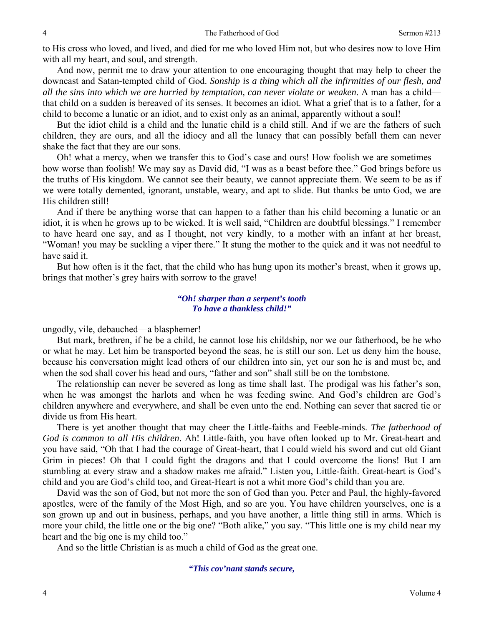to His cross who loved, and lived, and died for me who loved Him not, but who desires now to love Him with all my heart, and soul, and strength.

And now, permit me to draw your attention to one encouraging thought that may help to cheer the downcast and Satan-tempted child of God. *Sonship is a thing which all the infirmities of our flesh, and all the sins into which we are hurried by temptation, can never violate or weaken*. A man has a child that child on a sudden is bereaved of its senses. It becomes an idiot. What a grief that is to a father, for a child to become a lunatic or an idiot, and to exist only as an animal, apparently without a soul!

But the idiot child is a child and the lunatic child is a child still. And if we are the fathers of such children, they are ours, and all the idiocy and all the lunacy that can possibly befall them can never shake the fact that they are our sons.

Oh! what a mercy, when we transfer this to God's case and ours! How foolish we are sometimes how worse than foolish! We may say as David did, "I was as a beast before thee." God brings before us the truths of His kingdom. We cannot see their beauty, we cannot appreciate them. We seem to be as if we were totally demented, ignorant, unstable, weary, and apt to slide. But thanks be unto God, we are His children still!

And if there be anything worse that can happen to a father than his child becoming a lunatic or an idiot, it is when he grows up to be wicked. It is well said, "Children are doubtful blessings." I remember to have heard one say, and as I thought, not very kindly, to a mother with an infant at her breast, "Woman! you may be suckling a viper there." It stung the mother to the quick and it was not needful to have said it.

But how often is it the fact, that the child who has hung upon its mother's breast, when it grows up, brings that mother's grey hairs with sorrow to the grave!

#### *"Oh! sharper than a serpent's tooth To have a thankless child!"*

ungodly, vile, debauched—a blasphemer!

But mark, brethren, if he be a child, he cannot lose his childship, nor we our fatherhood, be he who or what he may. Let him be transported beyond the seas, he is still our son. Let us deny him the house, because his conversation might lead others of our children into sin, yet our son he is and must be, and when the sod shall cover his head and ours, "father and son" shall still be on the tombstone.

The relationship can never be severed as long as time shall last. The prodigal was his father's son, when he was amongst the harlots and when he was feeding swine. And God's children are God's children anywhere and everywhere, and shall be even unto the end. Nothing can sever that sacred tie or divide us from His heart.

There is yet another thought that may cheer the Little-faiths and Feeble-minds. *The fatherhood of God is common to all His children*. Ah! Little-faith, you have often looked up to Mr. Great-heart and you have said, "Oh that I had the courage of Great-heart, that I could wield his sword and cut old Giant Grim in pieces! Oh that I could fight the dragons and that I could overcome the lions! But I am stumbling at every straw and a shadow makes me afraid." Listen you, Little-faith. Great-heart is God's child and you are God's child too, and Great-Heart is not a whit more God's child than you are.

David was the son of God, but not more the son of God than you. Peter and Paul, the highly-favored apostles, were of the family of the Most High, and so are you. You have children yourselves, one is a son grown up and out in business, perhaps, and you have another, a little thing still in arms. Which is more your child, the little one or the big one? "Both alike," you say. "This little one is my child near my heart and the big one is my child too."

And so the little Christian is as much a child of God as the great one.

*"This cov'nant stands secure,*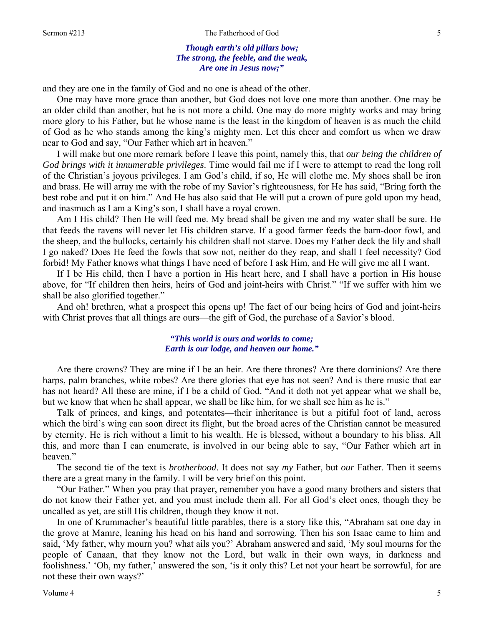#### *Though earth's old pillars bow; The strong, the feeble, and the weak, Are one in Jesus now;"*

and they are one in the family of God and no one is ahead of the other.

One may have more grace than another, but God does not love one more than another. One may be an older child than another, but he is not more a child. One may do more mighty works and may bring more glory to his Father, but he whose name is the least in the kingdom of heaven is as much the child of God as he who stands among the king's mighty men. Let this cheer and comfort us when we draw near to God and say, "Our Father which art in heaven."

I will make but one more remark before I leave this point, namely this, that *our being the children of God brings with it innumerable privileges*. Time would fail me if I were to attempt to read the long roll of the Christian's joyous privileges. I am God's child, if so, He will clothe me. My shoes shall be iron and brass. He will array me with the robe of my Savior's righteousness, for He has said, "Bring forth the best robe and put it on him." And He has also said that He will put a crown of pure gold upon my head, and inasmuch as I am a King's son, I shall have a royal crown.

Am I His child? Then He will feed me. My bread shall be given me and my water shall be sure. He that feeds the ravens will never let His children starve. If a good farmer feeds the barn-door fowl, and the sheep, and the bullocks, certainly his children shall not starve. Does my Father deck the lily and shall I go naked? Does He feed the fowls that sow not, neither do they reap, and shall I feel necessity? God forbid! My Father knows what things I have need of before I ask Him, and He will give me all I want.

If I be His child, then I have a portion in His heart here, and I shall have a portion in His house above, for "If children then heirs, heirs of God and joint-heirs with Christ." "If we suffer with him we shall be also glorified together."

And oh! brethren, what a prospect this opens up! The fact of our being heirs of God and joint-heirs with Christ proves that all things are ours—the gift of God, the purchase of a Savior's blood.

### *"This world is ours and worlds to come; Earth is our lodge, and heaven our home."*

Are there crowns? They are mine if I be an heir. Are there thrones? Are there dominions? Are there harps, palm branches, white robes? Are there glories that eye has not seen? And is there music that ear has not heard? All these are mine, if I be a child of God. "And it doth not yet appear what we shall be, but we know that when he shall appear, we shall be like him, for we shall see him as he is."

Talk of princes, and kings, and potentates—their inheritance is but a pitiful foot of land, across which the bird's wing can soon direct its flight, but the broad acres of the Christian cannot be measured by eternity. He is rich without a limit to his wealth. He is blessed, without a boundary to his bliss. All this, and more than I can enumerate, is involved in our being able to say, "Our Father which art in heaven."

The second tie of the text is *brotherhood*. It does not say *my* Father, but *our* Father. Then it seems there are a great many in the family. I will be very brief on this point.

"Our Father." When you pray that prayer, remember you have a good many brothers and sisters that do not know their Father yet, and you must include them all. For all God's elect ones, though they be uncalled as yet, are still His children, though they know it not.

In one of Krummacher's beautiful little parables, there is a story like this, "Abraham sat one day in the grove at Mamre, leaning his head on his hand and sorrowing. Then his son Isaac came to him and said, 'My father, why mourn you? what ails you?' Abraham answered and said, 'My soul mourns for the people of Canaan, that they know not the Lord, but walk in their own ways, in darkness and foolishness.' 'Oh, my father,' answered the son, 'is it only this? Let not your heart be sorrowful, for are not these their own ways?'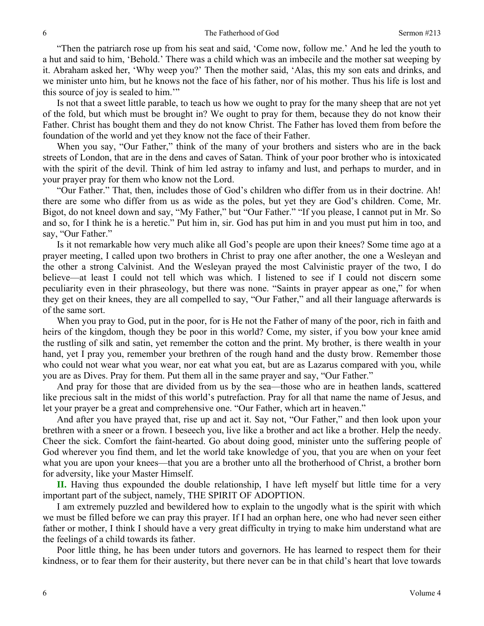"Then the patriarch rose up from his seat and said, 'Come now, follow me.' And he led the youth to a hut and said to him, 'Behold.' There was a child which was an imbecile and the mother sat weeping by it. Abraham asked her, 'Why weep you?' Then the mother said, 'Alas, this my son eats and drinks, and we minister unto him, but he knows not the face of his father, nor of his mother. Thus his life is lost and this source of joy is sealed to him.'"

Is not that a sweet little parable, to teach us how we ought to pray for the many sheep that are not yet of the fold, but which must be brought in? We ought to pray for them, because they do not know their Father. Christ has bought them and they do not know Christ. The Father has loved them from before the foundation of the world and yet they know not the face of their Father.

When you say, "Our Father," think of the many of your brothers and sisters who are in the back streets of London, that are in the dens and caves of Satan. Think of your poor brother who is intoxicated with the spirit of the devil. Think of him led astray to infamy and lust, and perhaps to murder, and in your prayer pray for them who know not the Lord.

"Our Father." That, then, includes those of God's children who differ from us in their doctrine. Ah! there are some who differ from us as wide as the poles, but yet they are God's children. Come, Mr. Bigot, do not kneel down and say, "My Father," but "Our Father." "If you please, I cannot put in Mr. So and so, for I think he is a heretic." Put him in, sir. God has put him in and you must put him in too, and say, "Our Father."

Is it not remarkable how very much alike all God's people are upon their knees? Some time ago at a prayer meeting, I called upon two brothers in Christ to pray one after another, the one a Wesleyan and the other a strong Calvinist. And the Wesleyan prayed the most Calvinistic prayer of the two, I do believe—at least I could not tell which was which. I listened to see if I could not discern some peculiarity even in their phraseology, but there was none. "Saints in prayer appear as one," for when they get on their knees, they are all compelled to say, "Our Father," and all their language afterwards is of the same sort.

When you pray to God, put in the poor, for is He not the Father of many of the poor, rich in faith and heirs of the kingdom, though they be poor in this world? Come, my sister, if you bow your knee amid the rustling of silk and satin, yet remember the cotton and the print. My brother, is there wealth in your hand, yet I pray you, remember your brethren of the rough hand and the dusty brow. Remember those who could not wear what you wear, nor eat what you eat, but are as Lazarus compared with you, while you are as Dives. Pray for them. Put them all in the same prayer and say, "Our Father."

And pray for those that are divided from us by the sea—those who are in heathen lands, scattered like precious salt in the midst of this world's putrefaction. Pray for all that name the name of Jesus, and let your prayer be a great and comprehensive one. "Our Father, which art in heaven."

And after you have prayed that, rise up and act it. Say not, "Our Father," and then look upon your brethren with a sneer or a frown. I beseech you, live like a brother and act like a brother. Help the needy. Cheer the sick. Comfort the faint-hearted. Go about doing good, minister unto the suffering people of God wherever you find them, and let the world take knowledge of you, that you are when on your feet what you are upon your knees—that you are a brother unto all the brotherhood of Christ, a brother born for adversity, like your Master Himself.

**II.** Having thus expounded the double relationship, I have left myself but little time for a very important part of the subject, namely, THE SPIRIT OF ADOPTION.

I am extremely puzzled and bewildered how to explain to the ungodly what is the spirit with which we must be filled before we can pray this prayer. If I had an orphan here, one who had never seen either father or mother, I think I should have a very great difficulty in trying to make him understand what are the feelings of a child towards its father.

Poor little thing, he has been under tutors and governors. He has learned to respect them for their kindness, or to fear them for their austerity, but there never can be in that child's heart that love towards

6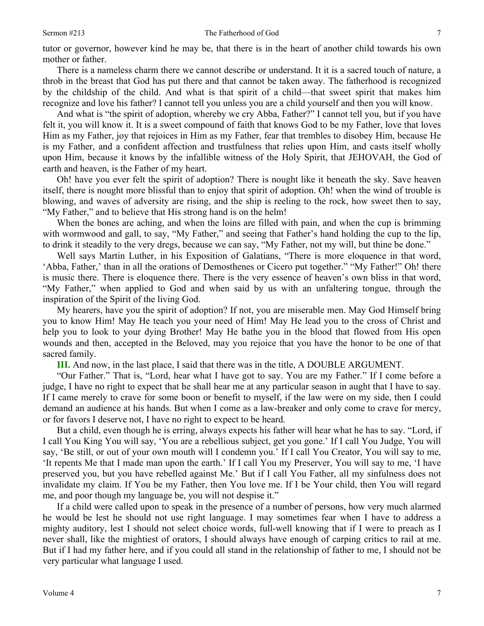tutor or governor, however kind he may be, that there is in the heart of another child towards his own mother or father.

There is a nameless charm there we cannot describe or understand. It it is a sacred touch of nature, a throb in the breast that God has put there and that cannot be taken away. The fatherhood is recognized by the childship of the child. And what is that spirit of a child—that sweet spirit that makes him recognize and love his father? I cannot tell you unless you are a child yourself and then you will know.

And what is "the spirit of adoption, whereby we cry Abba, Father?" I cannot tell you, but if you have felt it, you will know it. It is a sweet compound of faith that knows God to be my Father, love that loves Him as my Father, joy that rejoices in Him as my Father, fear that trembles to disobey Him, because He is my Father, and a confident affection and trustfulness that relies upon Him, and casts itself wholly upon Him, because it knows by the infallible witness of the Holy Spirit, that JEHOVAH, the God of earth and heaven, is the Father of my heart.

Oh! have you ever felt the spirit of adoption? There is nought like it beneath the sky. Save heaven itself, there is nought more blissful than to enjoy that spirit of adoption. Oh! when the wind of trouble is blowing, and waves of adversity are rising, and the ship is reeling to the rock, how sweet then to say, "My Father," and to believe that His strong hand is on the helm!

When the bones are aching, and when the loins are filled with pain, and when the cup is brimming with wormwood and gall, to say, "My Father," and seeing that Father's hand holding the cup to the lip, to drink it steadily to the very dregs, because we can say, "My Father, not my will, but thine be done."

Well says Martin Luther, in his Exposition of Galatians, "There is more eloquence in that word, 'Abba, Father,' than in all the orations of Demosthenes or Cicero put together." "My Father!" Oh! there is music there. There is eloquence there. There is the very essence of heaven's own bliss in that word, "My Father," when applied to God and when said by us with an unfaltering tongue, through the inspiration of the Spirit of the living God.

My hearers, have you the spirit of adoption? If not, you are miserable men. May God Himself bring you to know Him! May He teach you your need of Him! May He lead you to the cross of Christ and help you to look to your dying Brother! May He bathe you in the blood that flowed from His open wounds and then, accepted in the Beloved, may you rejoice that you have the honor to be one of that sacred family.

**III.** And now, in the last place, I said that there was in the title, A DOUBLE ARGUMENT.

"Our Father." That is, "Lord, hear what I have got to say. You are my Father." If I come before a judge, I have no right to expect that he shall hear me at any particular season in aught that I have to say. If I came merely to crave for some boon or benefit to myself, if the law were on my side, then I could demand an audience at his hands. But when I come as a law-breaker and only come to crave for mercy, or for favors I deserve not, I have no right to expect to be heard.

But a child, even though he is erring, always expects his father will hear what he has to say. "Lord, if I call You King You will say, 'You are a rebellious subject, get you gone.' If I call You Judge, You will say, 'Be still, or out of your own mouth will I condemn you.' If I call You Creator, You will say to me, 'It repents Me that I made man upon the earth.' If I call You my Preserver, You will say to me, 'I have preserved you, but you have rebelled against Me.' But if I call You Father, all my sinfulness does not invalidate my claim. If You be my Father, then You love me. If I be Your child, then You will regard me, and poor though my language be, you will not despise it."

If a child were called upon to speak in the presence of a number of persons, how very much alarmed he would be lest he should not use right language. I may sometimes fear when I have to address a mighty auditory, lest I should not select choice words, full-well knowing that if I were to preach as I never shall, like the mightiest of orators, I should always have enough of carping critics to rail at me. But if I had my father here, and if you could all stand in the relationship of father to me, I should not be very particular what language I used.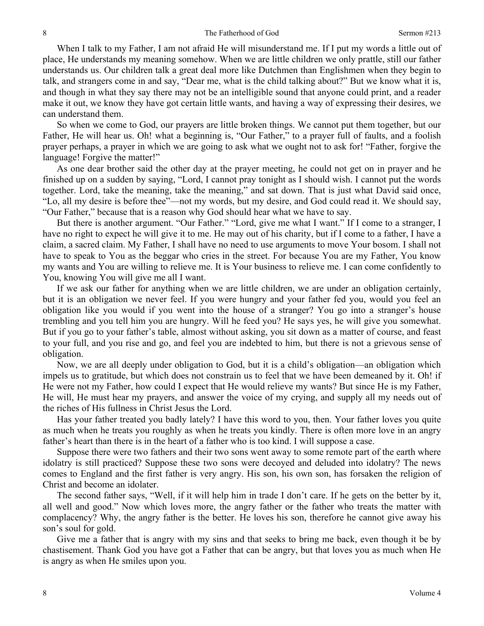When I talk to my Father, I am not afraid He will misunderstand me. If I put my words a little out of place, He understands my meaning somehow. When we are little children we only prattle, still our father understands us. Our children talk a great deal more like Dutchmen than Englishmen when they begin to talk, and strangers come in and say, "Dear me, what is the child talking about?" But we know what it is, and though in what they say there may not be an intelligible sound that anyone could print, and a reader make it out, we know they have got certain little wants, and having a way of expressing their desires, we can understand them.

So when we come to God, our prayers are little broken things. We cannot put them together, but our Father, He will hear us. Oh! what a beginning is, "Our Father," to a prayer full of faults, and a foolish prayer perhaps, a prayer in which we are going to ask what we ought not to ask for! "Father, forgive the language! Forgive the matter!"

As one dear brother said the other day at the prayer meeting, he could not get on in prayer and he finished up on a sudden by saying, "Lord, I cannot pray tonight as I should wish. I cannot put the words together. Lord, take the meaning, take the meaning," and sat down. That is just what David said once, "Lo, all my desire is before thee"—not my words, but my desire, and God could read it. We should say, "Our Father," because that is a reason why God should hear what we have to say.

But there is another argument. "Our Father." "Lord, give me what I want." If I come to a stranger, I have no right to expect he will give it to me. He may out of his charity, but if I come to a father, I have a claim, a sacred claim. My Father, I shall have no need to use arguments to move Your bosom. I shall not have to speak to You as the beggar who cries in the street. For because You are my Father, You know my wants and You are willing to relieve me. It is Your business to relieve me. I can come confidently to You, knowing You will give me all I want.

If we ask our father for anything when we are little children, we are under an obligation certainly, but it is an obligation we never feel. If you were hungry and your father fed you, would you feel an obligation like you would if you went into the house of a stranger? You go into a stranger's house trembling and you tell him you are hungry. Will he feed you? He says yes, he will give you somewhat. But if you go to your father's table, almost without asking, you sit down as a matter of course, and feast to your full, and you rise and go, and feel you are indebted to him, but there is not a grievous sense of obligation.

Now, we are all deeply under obligation to God, but it is a child's obligation—an obligation which impels us to gratitude, but which does not constrain us to feel that we have been demeaned by it. Oh! if He were not my Father, how could I expect that He would relieve my wants? But since He is my Father, He will, He must hear my prayers, and answer the voice of my crying, and supply all my needs out of the riches of His fullness in Christ Jesus the Lord.

Has your father treated you badly lately? I have this word to you, then. Your father loves you quite as much when he treats you roughly as when he treats you kindly. There is often more love in an angry father's heart than there is in the heart of a father who is too kind. I will suppose a case.

Suppose there were two fathers and their two sons went away to some remote part of the earth where idolatry is still practiced? Suppose these two sons were decoyed and deluded into idolatry? The news comes to England and the first father is very angry. His son, his own son, has forsaken the religion of Christ and become an idolater.

The second father says, "Well, if it will help him in trade I don't care. If he gets on the better by it, all well and good." Now which loves more, the angry father or the father who treats the matter with complacency? Why, the angry father is the better. He loves his son, therefore he cannot give away his son's soul for gold.

Give me a father that is angry with my sins and that seeks to bring me back, even though it be by chastisement. Thank God you have got a Father that can be angry, but that loves you as much when He is angry as when He smiles upon you.